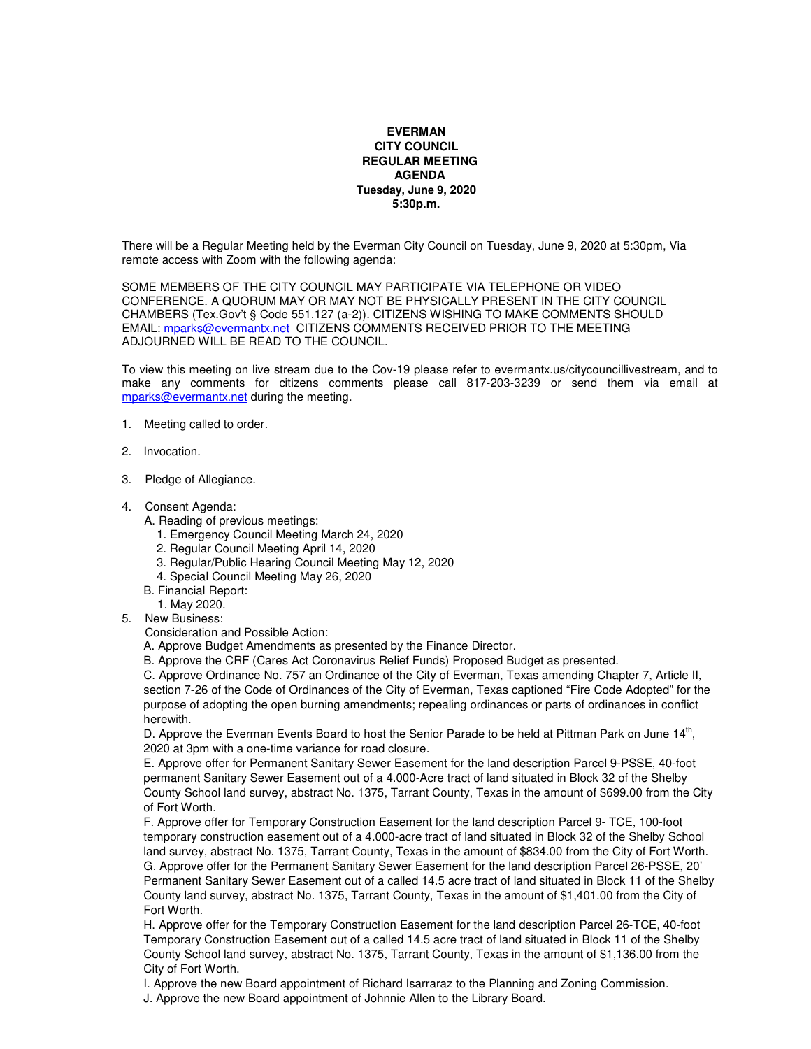## **EVERMAN CITY COUNCIL REGULAR MEETING AGENDA Tuesday, June 9, 2020 5:30p.m.**

There will be a Regular Meeting held by the Everman City Council on Tuesday, June 9, 2020 at 5:30pm, Via remote access with Zoom with the following agenda:

SOME MEMBERS OF THE CITY COUNCIL MAY PARTICIPATE VIA TELEPHONE OR VIDEO CONFERENCE. A QUORUM MAY OR MAY NOT BE PHYSICALLY PRESENT IN THE CITY COUNCIL CHAMBERS (Tex.Gov't § Code 551.127 (a-2)). CITIZENS WISHING TO MAKE COMMENTS SHOULD EMAIL: mparks@evermantx.net CITIZENS COMMENTS RECEIVED PRIOR TO THE MEETING ADJOURNED WILL BE READ TO THE COUNCIL.

To view this meeting on live stream due to the Cov-19 please refer to evermantx.us/citycouncillivestream, and to make any comments for citizens comments please call 817-203-3239 or send them via email at mparks@evermantx.net during the meeting.

- 1. Meeting called to order.
- 2. Invocation.
- 3. Pledge of Allegiance.
- 4. Consent Agenda:
	- A. Reading of previous meetings:
		- 1. Emergency Council Meeting March 24, 2020
		- 2. Regular Council Meeting April 14, 2020
		- 3. Regular/Public Hearing Council Meeting May 12, 2020
		- 4. Special Council Meeting May 26, 2020
	- B. Financial Report:
		- 1. May 2020.
- 5. New Business:

Consideration and Possible Action:

A. Approve Budget Amendments as presented by the Finance Director.

B. Approve the CRF (Cares Act Coronavirus Relief Funds) Proposed Budget as presented.

C. Approve Ordinance No. 757 an Ordinance of the City of Everman, Texas amending Chapter 7, Article II, section 7-26 of the Code of Ordinances of the City of Everman, Texas captioned "Fire Code Adopted" for the purpose of adopting the open burning amendments; repealing ordinances or parts of ordinances in conflict herewith.

D. Approve the Everman Events Board to host the Senior Parade to be held at Pittman Park on June 14<sup>th</sup>, 2020 at 3pm with a one-time variance for road closure.

E. Approve offer for Permanent Sanitary Sewer Easement for the land description Parcel 9-PSSE, 40-foot permanent Sanitary Sewer Easement out of a 4.000-Acre tract of land situated in Block 32 of the Shelby County School land survey, abstract No. 1375, Tarrant County, Texas in the amount of \$699.00 from the City of Fort Worth.

F. Approve offer for Temporary Construction Easement for the land description Parcel 9- TCE, 100-foot temporary construction easement out of a 4.000-acre tract of land situated in Block 32 of the Shelby School land survey, abstract No. 1375, Tarrant County, Texas in the amount of \$834.00 from the City of Fort Worth. G. Approve offer for the Permanent Sanitary Sewer Easement for the land description Parcel 26-PSSE, 20' Permanent Sanitary Sewer Easement out of a called 14.5 acre tract of land situated in Block 11 of the Shelby County land survey, abstract No. 1375, Tarrant County, Texas in the amount of \$1,401.00 from the City of Fort Worth.

H. Approve offer for the Temporary Construction Easement for the land description Parcel 26-TCE, 40-foot Temporary Construction Easement out of a called 14.5 acre tract of land situated in Block 11 of the Shelby County School land survey, abstract No. 1375, Tarrant County, Texas in the amount of \$1,136.00 from the City of Fort Worth.

I. Approve the new Board appointment of Richard Isarraraz to the Planning and Zoning Commission.

J. Approve the new Board appointment of Johnnie Allen to the Library Board.